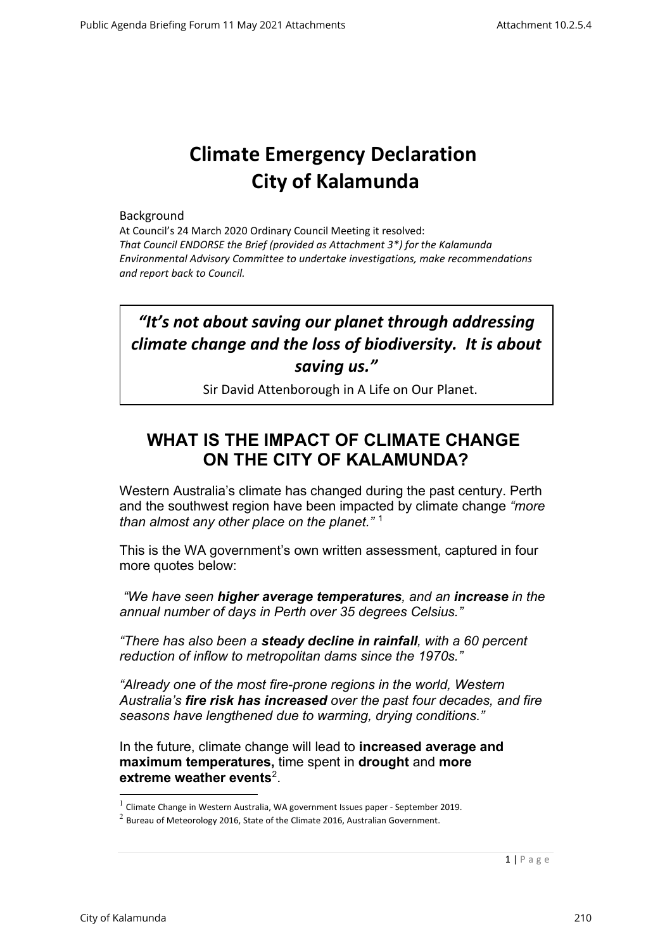# **Climate Emergency Declaration City of Kalamunda**

#### Background

At Council's 24 March 2020 Ordinary Council Meeting it resolved: *That Council ENDORSE the Brief (provided as Attachment 3\*) for the Kalamunda Environmental Advisory Committee to undertake investigations, make recommendations and report back to Council.*

## *"It's not about saving our planet through addressing climate change and the loss of biodiversity. It is about saving us."*

Sir David Attenborough in A Life on Our Planet.

### WHAT IS THE IMPACT OF CLIMATE CHANGE **ON THE CITY OF KALAMUNDA?**

Western Australia's climate has changed during the past century. Perth and the southwest region have been impacted by climate change *"more than almost any other place on the planet."* <sup>1</sup>

This is the WA government's own written assessment, captured in four more quotes below:

*"We have seen higher average temperatures, and an increase in the annual number of days in Perth over 35 degrees Celsius."*

*"There has also been a steady decline in rainfall, with a 60 percent reduction of inflow to metropolitan dams since the 1970s."*

*"Already one of the most fire-prone regions in the world, Western Australia's fire risk has increased over the past four decades, and fire seasons have lengthened due to warming, drying conditions."*

In the future, climate change will lead to **increased average and maximum temperatures,** time spent in **drought** and **more extreme weather events**2.

 $<sup>1</sup>$  Climate Change in Western Australia, WA government Issues paper - September 2019.</sup>

 $2$  Bureau of Meteorology 2016, State of the Climate 2016, Australian Government.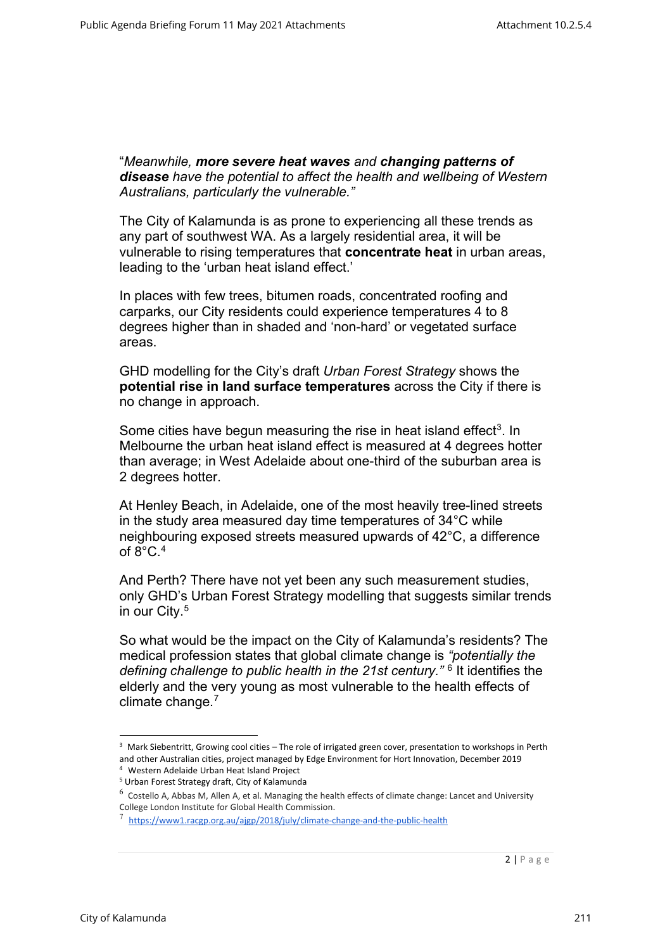"*Meanwhile, more severe heat waves and changing patterns of disease have the potential to affect the health and wellbeing of Western Australians, particularly the vulnerable."*

The City of Kalamunda is as prone to experiencing all these trends as any part of southwest WA. As a largely residential area, it will be vulnerable to rising temperatures that **concentrate heat** in urban areas, leading to the 'urban heat island effect.'

In places with few trees, bitumen roads, concentrated roofing and carparks, our City residents could experience temperatures 4 to 8 degrees higher than in shaded and 'non-hard' or vegetated surface areas.

GHD modelling for the City's draft *Urban Forest Strategy* shows the **potential rise in land surface temperatures** across the City if there is no change in approach.

Some cities have begun measuring the rise in heat island effect<sup>3</sup>. In Melbourne the urban heat island effect is measured at 4 degrees hotter than average; in West Adelaide about one-third of the suburban area is 2 degrees hotter.

At Henley Beach, in Adelaide, one of the most heavily tree-lined streets in the study area measured day time temperatures of 34°C while neighbouring exposed streets measured upwards of 42°C, a difference of  $8^{\circ}$ C.  $4^{\circ}$ 

And Perth? There have not yet been any such measurement studies, only GHD's Urban Forest Strategy modelling that suggests similar trends in our City. 5

So what would be the impact on the City of Kalamunda's residents? The medical profession states that global climate change is *"potentially the defining challenge to public health in the 21st century."* <sup>6</sup> It identifies the elderly and the very young as most vulnerable to the health effects of climate change.<sup>7</sup>

<sup>&</sup>lt;sup>3</sup> Mark Siebentritt, Growing cool cities – The role of irrigated green cover, presentation to workshops in Perth and other Australian cities, project managed by Edge Environment for Hort Innovation, December 2019

<sup>&</sup>lt;sup>4</sup> Western Adelaide Urban Heat Island Project<br><sup>5</sup> Urban Forest Strategy draft, City of Kalamunda

 $6$  Costello A, Abbas M, Allen A, et al. Managing the health effects of climate change: Lancet and University College London Institute for Global Health Commission.

<sup>&</sup>lt;sup>7</sup> https://www1.racgp.org.au/ajgp/2018/july/climate-change-and-the-public-health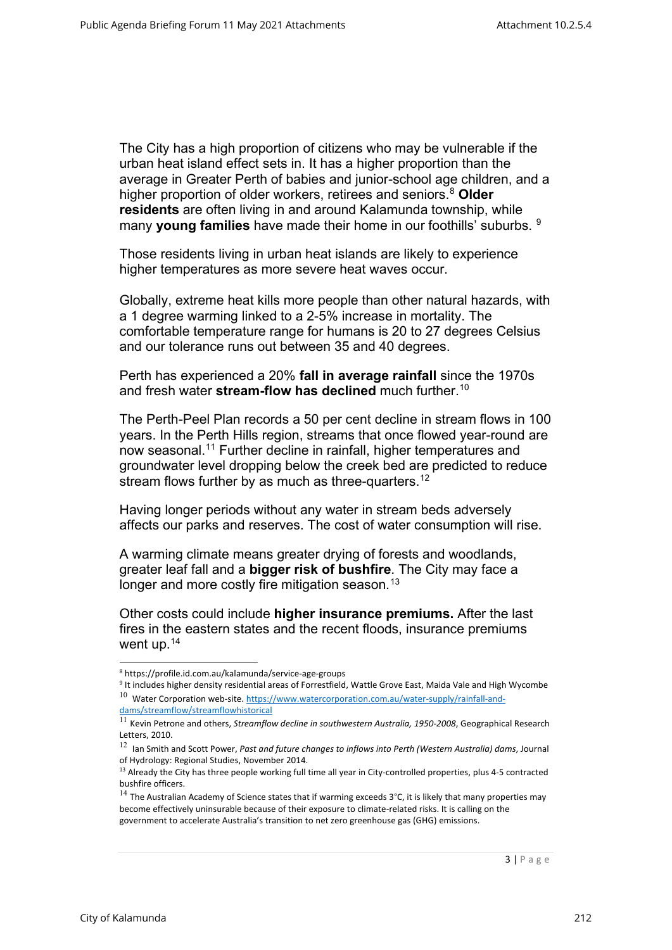The City has a high proportion of citizens who may be vulnerable if the urban heat island effect sets in. It has a higher proportion than the average in Greater Perth of babies and junior-school age children, and a higher proportion of older workers, retirees and seniors.8 **Older residents** are often living in and around Kalamunda township, while many **young families** have made their home in our foothills' suburbs. <sup>9</sup>

Those residents living in urban heat islands are likely to experience higher temperatures as more severe heat waves occur.

Globally, extreme heat kills more people than other natural hazards, with a 1 degree warming linked to a 2-5% increase in mortality. The comfortable temperature range for humans is 20 to 27 degrees Celsius and our tolerance runs out between 35 and 40 degrees.

Perth has experienced a 20% **fall in average rainfall** since the 1970s and fresh water **stream-flow has declined** much further.<sup>10</sup>

The Perth-Peel Plan records a 50 per cent decline in stream flows in 100 years. In the Perth Hills region, streams that once flowed year-round are now seasonal.<sup>11</sup> Further decline in rainfall, higher temperatures and groundwater level dropping below the creek bed are predicted to reduce stream flows further by as much as three-quarters.<sup>12</sup>

Having longer periods without any water in stream beds adversely affects our parks and reserves. The cost of water consumption will rise.

A warming climate means greater drying of forests and woodlands, greater leaf fall and a **bigger risk of bushfire**. The City may face a longer and more costly fire mitigation season.<sup>13</sup>

Other costs could include **higher insurance premiums.** After the last fires in the eastern states and the recent floods, insurance premiums went up.14

<sup>8</sup> https://profile.id.com.au/kalamunda/service-age-groups

<sup>&</sup>lt;sup>9</sup> It includes higher density residential areas of Forrestfield, Wattle Grove East, Maida Vale and High Wycombe  $10$  Water Corporation web-site. https://www.watercorporation.com.au/water-supply/rainfall-anddams/streamflow/streamflowhistorical

<sup>11</sup> Kevin Petrone and others, *Streamflow decline in southwestern Australia, 1950-2008*, Geographical Research Letters, 2010.

<sup>12</sup> Ian Smith and Scott Power, *Past and future changes to inflows into Perth (Western Australia) dams*, Journal of Hydrology: Regional Studies, November 2014.

<sup>&</sup>lt;sup>13</sup> Already the City has three people working full time all year in City-controlled properties, plus 4-5 contracted bushfire officers.

 $14$  The Australian Academy of Science states that if warming exceeds 3°C, it is likely that many properties may become effectively uninsurable because of their exposure to climate-related risks. It is calling on the government to accelerate Australia's transition to net zero greenhouse gas (GHG) emissions.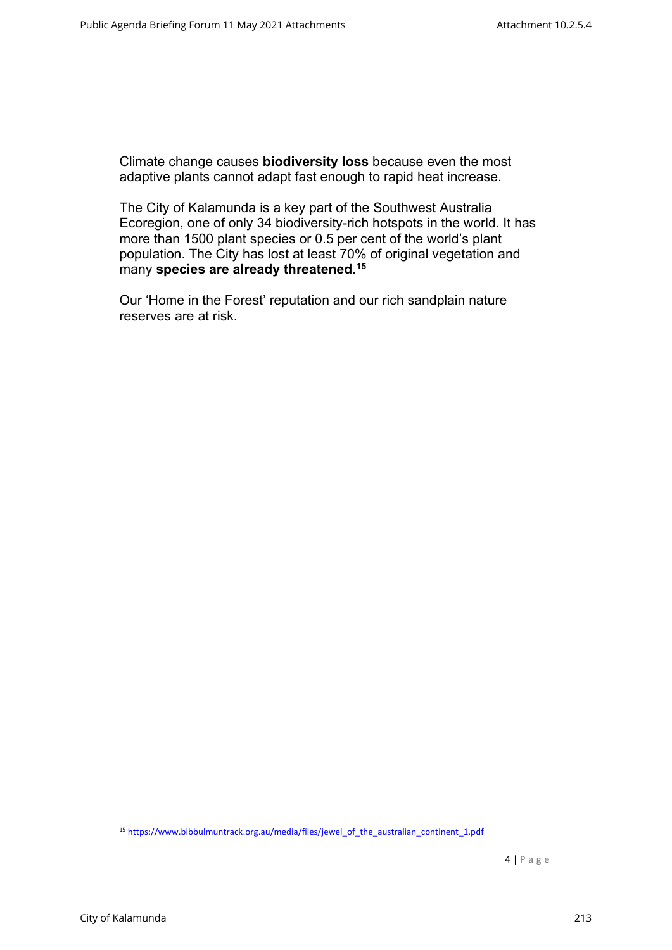Climate change causes **biodiversity loss** because even the most adaptive plants cannot adapt fast enough to rapid heat increase.

The City of Kalamunda is a key part of the Southwest Australia Ecoregion, one of only 34 biodiversity-rich hotspots in the world. It has more than 1500 plant species or 0.5 per cent of the world's plant population. The City has lost at least 70% of original vegetation and many **species are already threatened.**<sup>15</sup>

Our 'Home in the Forest' reputation and our rich sandplain nature reserves are at risk.

<sup>&</sup>lt;sup>15</sup> https://www.bibbulmuntrack.org.au/media/files/jewel\_of\_the\_australian\_continent\_1.pdf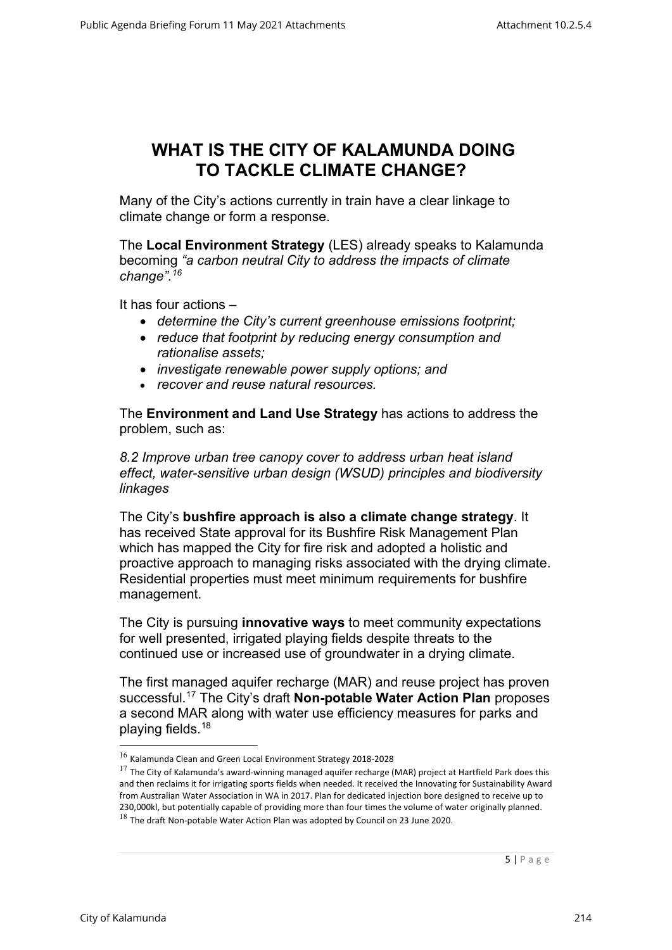#### **WHAT IS THE CITY OF KALAMUNDA DOING TO TACKLE CLIMATE CHANGE?**

Many of the City's actions currently in train have a clear linkage to climate change or form a response.

The **Local Environment Strategy** (LES) already speaks to Kalamunda becoming *"a carbon neutral City to address the impacts of climate change".16*

It has four actions –

- *determine the City's current greenhouse emissions footprint;*
- *reduce that footprint by reducing energy consumption and rationalise assets;*
- *investigate renewable power supply options; and*
- *recover and reuse natural resources.*

The **Environment and Land Use Strategy** has actions to address the problem, such as:

*8.2 Improve urban tree canopy cover to address urban heat island effect, water-sensitive urban design (WSUD) principles and biodiversity linkages*

The City's **bushfire approach is also a climate change strategy**. It has received State approval for its Bushfire Risk Management Plan which has mapped the City for fire risk and adopted a holistic and proactive approach to managing risks associated with the drying climate. Residential properties must meet minimum requirements for bushfire management.

The City is pursuing **innovative ways** to meet community expectations for well presented, irrigated playing fields despite threats to the continued use or increased use of groundwater in a drying climate.

The first managed aquifer recharge (MAR) and reuse project has proven successful.17 The City's draft **Non-potable Water Action Plan** proposes a second MAR along with water use efficiency measures for parks and playing fields.18

<sup>16</sup> Kalamunda Clean and Green Local Environment Strategy 2018-2028

 $^{17}$  The City of Kalamunda's award-winning managed aquifer recharge (MAR) project at Hartfield Park does this and then reclaims it for irrigating sports fields when needed. It received the Innovating for Sustainability Award from Australian Water Association in WA in 2017. Plan for dedicated injection bore designed to receive up to 230,000kl, but potentially capable of providing more than four times the volume of water originally planned.  $^{18}$  The draft Non-potable Water Action Plan was adopted by Council on 23 June 2020.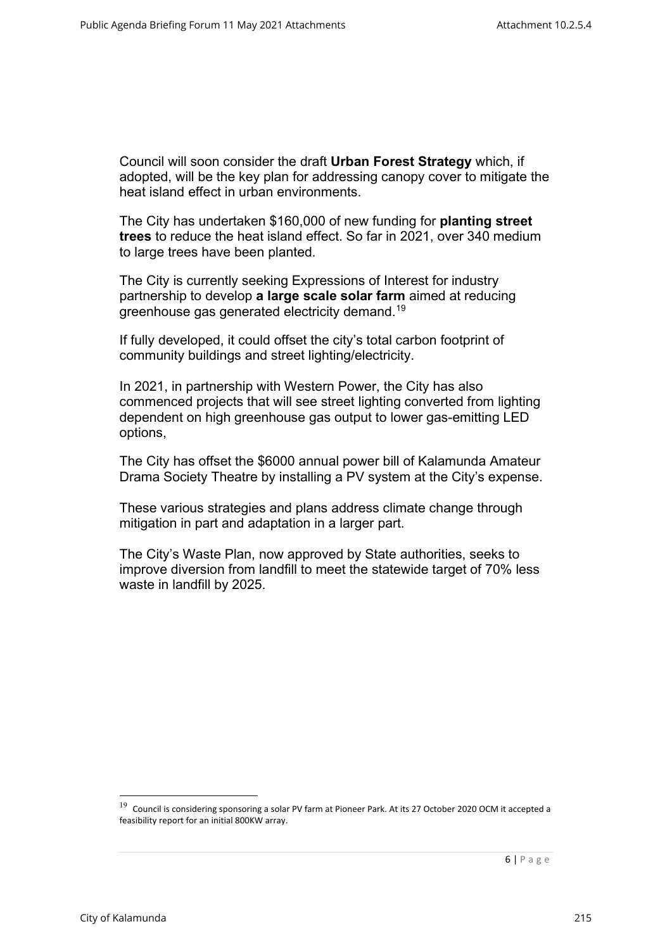Council will soon consider the draft **Urban Forest Strategy** which, if adopted, will be the key plan for addressing canopy cover to mitigate the heat island effect in urban environments.

The City has undertaken \$160,000 of new funding for **planting street trees** to reduce the heat island effect. So far in 2021, over 340 medium to large trees have been planted.

The City is currently seeking Expressions of Interest for industry partnership to develop **a large scale solar farm** aimed at reducing greenhouse gas generated electricity demand.19

If fully developed, it could offset the city's total carbon footprint of community buildings and street lighting/electricity.

In 2021, in partnership with Western Power, the City has also commenced projects that will see street lighting converted from lighting dependent on high greenhouse gas output to lower gas-emitting LED options,

The City has offset the \$6000 annual power bill of Kalamunda Amateur Drama Society Theatre by installing a PV system at the City's expense.

These various strategies and plans address climate change through mitigation in part and adaptation in a larger part.

The City's Waste Plan, now approved by State authorities, seeks to improve diversion from landfill to meet the statewide target of 70% less waste in landfill by 2025.

 $19$  Council is considering sponsoring a solar PV farm at Pioneer Park. At its 27 October 2020 OCM it accepted a feasibility report for an initial 800KW array.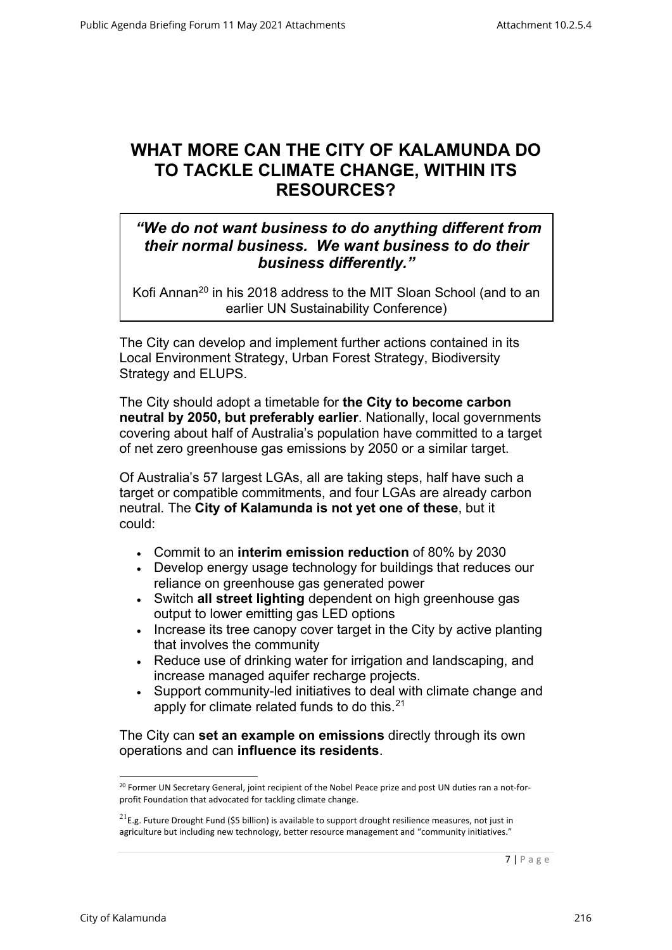### **WHAT MORE CAN THE CITY OF KALAMUNDA DO TO TACKLE CLIMATE CHANGE, WITHIN ITS RESOURCES?**

#### *"We do not want business to do anything different from their normal business. We want business to do their business differently."*

Kofi Annan<sup>20</sup> in his 2018 address to the MIT Sloan School (and to an earlier UN Sustainability Conference)

The City can develop and implement further actions contained in its Local Environment Strategy, Urban Forest Strategy, Biodiversity Strategy and ELUPS.

The City should adopt a timetable for **the City to become carbon neutral by 2050, but preferably earlier**. Nationally, local governments covering about half of Australia's population have committed to a target of net zero greenhouse gas emissions by 2050 or a similar target.

Of Australia's 57 largest LGAs, all are taking steps, half have such a target or compatible commitments, and four LGAs are already carbon neutral. The **City of Kalamunda is not yet one of these**, but it could:

- Commit to an **interim emission reduction** of 80% by 2030
- Develop energy usage technology for buildings that reduces our reliance on greenhouse gas generated power
- Switch **all street lighting** dependent on high greenhouse gas output to lower emitting gas LED options
- Increase its tree canopy cover target in the City by active planting that involves the community
- Reduce use of drinking water for irrigation and landscaping, and increase managed aquifer recharge projects.
- Support community-led initiatives to deal with climate change and apply for climate related funds to do this.<sup>21</sup>

The City can **set an example on emissions** directly through its own operations and can **influence its residents**.

<sup>&</sup>lt;sup>20</sup> Former UN Secretary General, joint recipient of the Nobel Peace prize and post UN duties ran a not-forprofit Foundation that advocated for tackling climate change.

 $21$ E.g. Future Drought Fund (\$5 billion) is available to support drought resilience measures, not just in agriculture but including new technology, better resource management and "community initiatives."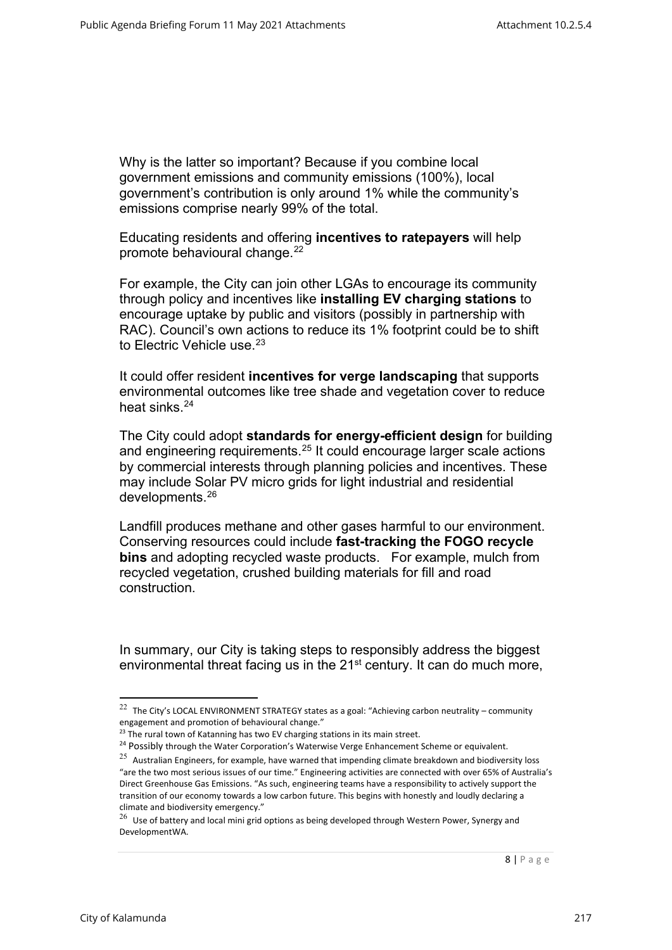Why is the latter so important? Because if you combine local government emissions and community emissions (100%), local government's contribution is only around 1% while the community's emissions comprise nearly 99% of the total.

Educating residents and offering **incentives to ratepayers** will help promote behavioural change.<sup>22</sup>

For example, the City can join other LGAs to encourage its community through policy and incentives like **installing EV charging stations** to encourage uptake by public and visitors (possibly in partnership with RAC). Council's own actions to reduce its 1% footprint could be to shift to Electric Vehicle use.<sup>23</sup>

It could offer resident **incentives for verge landscaping** that supports environmental outcomes like tree shade and vegetation cover to reduce heat sinks.<sup>24</sup>

The City could adopt **standards for energy-efficient design** for building and engineering requirements.25 It could encourage larger scale actions by commercial interests through planning policies and incentives. These may include Solar PV micro grids for light industrial and residential developments.26

Landfill produces methane and other gases harmful to our environment. Conserving resources could include **fast-tracking the FOGO recycle bins** and adopting recycled waste products. For example, mulch from recycled vegetation, crushed building materials for fill and road construction.

In summary, our City is taking steps to responsibly address the biggest environmental threat facing us in the 21<sup>st</sup> century. It can do much more,

<sup>&</sup>lt;sup>22</sup> The City's LOCAL ENVIRONMENT STRATEGY states as a goal: "Achieving carbon neutrality – community engagement and promotion of behavioural change."

<sup>&</sup>lt;sup>23</sup> The rural town of Katanning has two EV charging stations in its main street.

<sup>&</sup>lt;sup>24</sup> Possibly through the Water Corporation's Waterwise Verge Enhancement Scheme or equivalent.

 $25$  Australian Engineers, for example, have warned that impending climate breakdown and biodiversity loss "are the two most serious issues of our time." Engineering activities are connected with over 65% of Australia's Direct Greenhouse Gas Emissions. "As such, engineering teams have a responsibility to actively support the transition of our economy towards a low carbon future. This begins with honestly and loudly declaring a climate and biodiversity emergency."

 $^{26}$  Use of battery and local mini grid options as being developed through Western Power, Synergy and DevelopmentWA.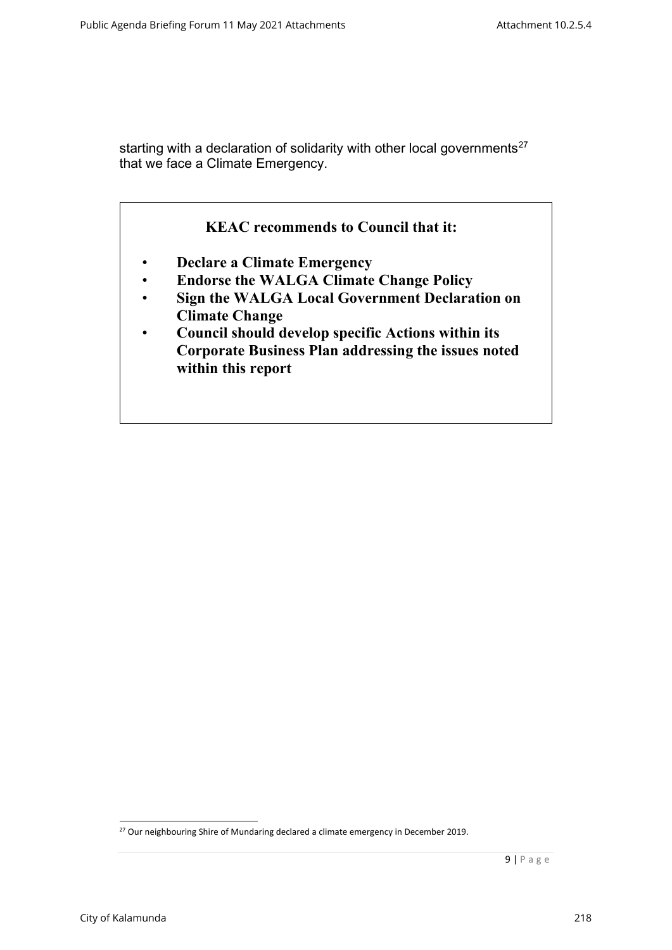starting with a declaration of solidarity with other local governments<sup>27</sup> that we face a Climate Emergency.



- **Declare a Climate Emergency**
- **Endorse the WALGA Climate Change Policy**
- **Sign the WALGA Local Government Declaration on Climate Change**
- **Council should develop specific Actions within its Corporate Business Plan addressing the issues noted within this report**

<sup>&</sup>lt;sup>27</sup> Our neighbouring Shire of Mundaring declared a climate emergency in December 2019.